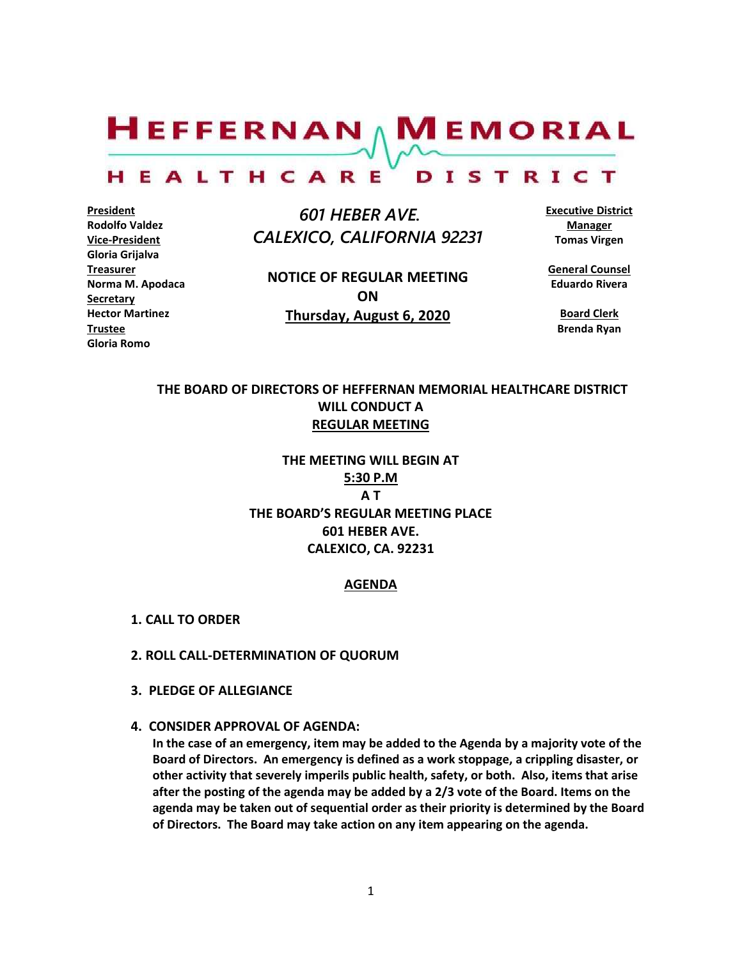$H$ EFFERNAN  $\wedge$  M EMORIAL

#### HEALTHCARE DISTRICT

**President Rodolfo Valdez Vice-President Gloria Grijalva Treasurer Norma M. Apodaca Secretary Hector Martinez Trustee Gloria Romo**

 *601 HEBER AVE. CALEXICO, CALIFORNIA 92231*

**NOTICE OF REGULAR MEETING ON Thursday, August 6, 2020**

**Executive District Manager Tomas Virgen**

**General Counsel Eduardo Rivera**

**Board Clerk Brenda Ryan**

## **THE BOARD OF DIRECTORS OF HEFFERNAN MEMORIAL HEALTHCARE DISTRICT WILL CONDUCT A REGULAR MEETING**

**THE MEETING WILL BEGIN AT 5:30 P.M A T THE BOARD'S REGULAR MEETING PLACE 601 HEBER AVE. CALEXICO, CA. 92231**

### **AGENDA**

- **1. CALL TO ORDER**
- **2. ROLL CALL-DETERMINATION OF QUORUM**
- **3. PLEDGE OF ALLEGIANCE**
- **4. CONSIDER APPROVAL OF AGENDA:**

**In the case of an emergency, item may be added to the Agenda by a majority vote of the Board of Directors. An emergency is defined as a work stoppage, a crippling disaster, or other activity that severely imperils public health, safety, or both. Also, items that arise after the posting of the agenda may be added by a 2/3 vote of the Board. Items on the agenda may be taken out of sequential order as their priority is determined by the Board of Directors. The Board may take action on any item appearing on the agenda.**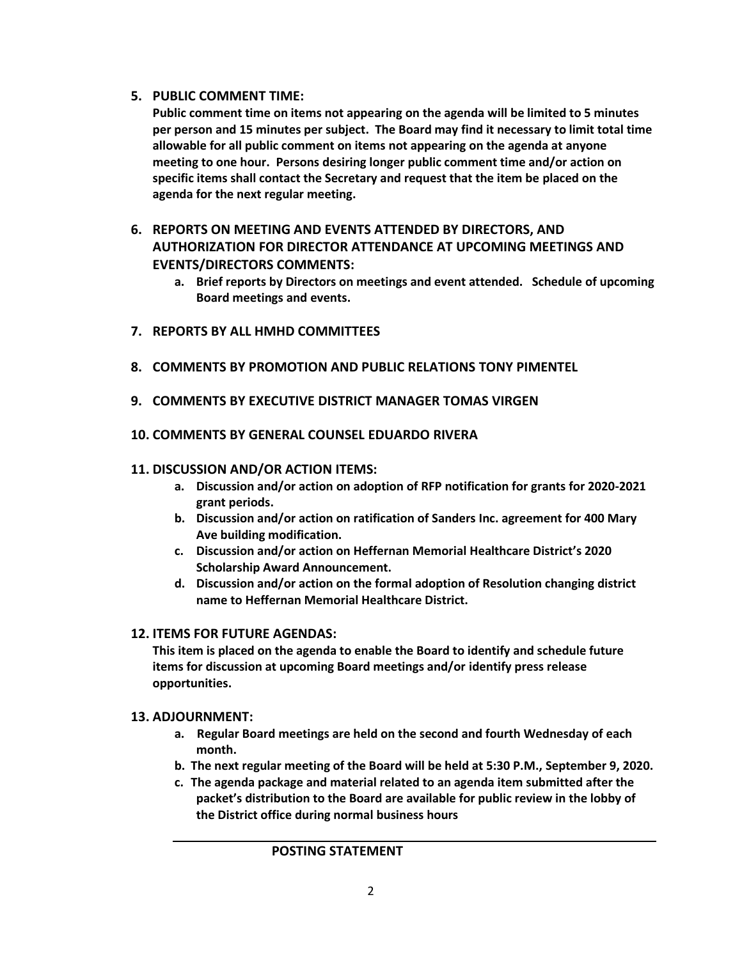## **5. PUBLIC COMMENT TIME:**

**Public comment time on items not appearing on the agenda will be limited to 5 minutes per person and 15 minutes per subject. The Board may find it necessary to limit total time allowable for all public comment on items not appearing on the agenda at anyone meeting to one hour. Persons desiring longer public comment time and/or action on specific items shall contact the Secretary and request that the item be placed on the agenda for the next regular meeting.**

# **6. REPORTS ON MEETING AND EVENTS ATTENDED BY DIRECTORS, AND AUTHORIZATION FOR DIRECTOR ATTENDANCE AT UPCOMING MEETINGS AND EVENTS/DIRECTORS COMMENTS:**

- **a. Brief reports by Directors on meetings and event attended. Schedule of upcoming Board meetings and events.**
- **7. REPORTS BY ALL HMHD COMMITTEES**
- **8. COMMENTS BY PROMOTION AND PUBLIC RELATIONS TONY PIMENTEL**
- **9. COMMENTS BY EXECUTIVE DISTRICT MANAGER TOMAS VIRGEN**
- **10. COMMENTS BY GENERAL COUNSEL EDUARDO RIVERA**

## **11. DISCUSSION AND/OR ACTION ITEMS:**

- **a. Discussion and/or action on adoption of RFP notification for grants for 2020-2021 grant periods.**
- **b. Discussion and/or action on ratification of Sanders Inc. agreement for 400 Mary Ave building modification.**
- **c. Discussion and/or action on Heffernan Memorial Healthcare District's 2020 Scholarship Award Announcement.**
- **d. Discussion and/or action on the formal adoption of Resolution changing district name to Heffernan Memorial Healthcare District.**

## **12. ITEMS FOR FUTURE AGENDAS:**

**This item is placed on the agenda to enable the Board to identify and schedule future items for discussion at upcoming Board meetings and/or identify press release opportunities.**

## **13. ADJOURNMENT:**

- **a. Regular Board meetings are held on the second and fourth Wednesday of each month.**
- **b. The next regular meeting of the Board will be held at 5:30 P.M., September 9, 2020.**
- **c. The agenda package and material related to an agenda item submitted after the packet's distribution to the Board are available for public review in the lobby of the District office during normal business hours**

## **POSTING STATEMENT**